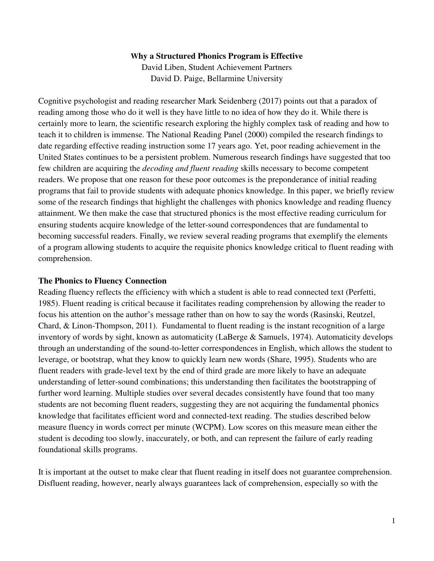#### **Why a Structured Phonics Program is Effective**

David Liben, Student Achievement Partners David D. Paige, Bellarmine University

Cognitive psychologist and reading researcher Mark Seidenberg (2017) points out that a paradox of reading among those who do it well is they have little to no idea of how they do it. While there is certainly more to learn, the scientific research exploring the highly complex task of reading and how to teach it to children is immense. The National Reading Panel (2000) compiled the research findings to date regarding effective reading instruction some 17 years ago. Yet, poor reading achievement in the United States continues to be a persistent problem. Numerous research findings have suggested that too few children are acquiring the *decoding and fluent reading* skills necessary to become competent readers. We propose that one reason for these poor outcomes is the preponderance of initial reading programs that fail to provide students with adequate phonics knowledge. In this paper, we briefly review some of the research findings that highlight the challenges with phonics knowledge and reading fluency attainment. We then make the case that structured phonics is the most effective reading curriculum for ensuring students acquire knowledge of the letter-sound correspondences that are fundamental to becoming successful readers. Finally, we review several reading programs that exemplify the elements of a program allowing students to acquire the requisite phonics knowledge critical to fluent reading with comprehension.

#### **The Phonics to Fluency Connection**

Reading fluency reflects the efficiency with which a student is able to read connected text (Perfetti, 1985). Fluent reading is critical because it facilitates reading comprehension by allowing the reader to focus his attention on the author's message rather than on how to say the words (Rasinski, Reutzel, Chard, & Linon-Thompson, 2011). Fundamental to fluent reading is the instant recognition of a large inventory of words by sight, known as automaticity (LaBerge & Samuels, 1974). Automaticity develops through an understanding of the sound-to-letter correspondences in English, which allows the student to leverage, or bootstrap, what they know to quickly learn new words (Share, 1995). Students who are fluent readers with grade-level text by the end of third grade are more likely to have an adequate understanding of letter-sound combinations; this understanding then facilitates the bootstrapping of further word learning. Multiple studies over several decades consistently have found that too many students are not becoming fluent readers, suggesting they are not acquiring the fundamental phonics knowledge that facilitates efficient word and connected-text reading. The studies described below measure fluency in words correct per minute (WCPM). Low scores on this measure mean either the student is decoding too slowly, inaccurately, or both, and can represent the failure of early reading foundational skills programs.

It is important at the outset to make clear that fluent reading in itself does not guarantee comprehension. Disfluent reading, however, nearly always guarantees lack of comprehension, especially so with the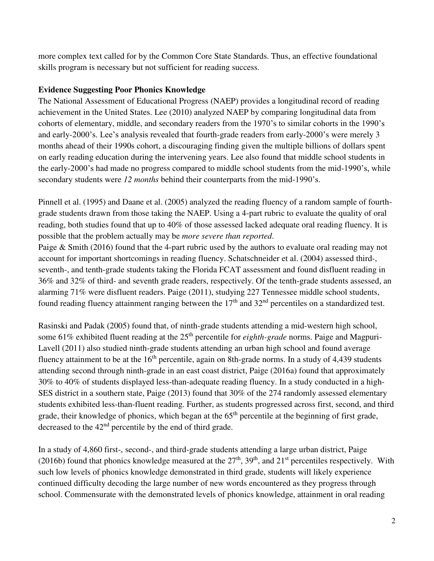more complex text called for by the Common Core State Standards. Thus, an effective foundational skills program is necessary but not sufficient for reading success.

### **Evidence Suggesting Poor Phonics Knowledge**

The National Assessment of Educational Progress (NAEP) provides a longitudinal record of reading achievement in the United States. Lee (2010) analyzed NAEP by comparing longitudinal data from cohorts of elementary, middle, and secondary readers from the 1970's to similar cohorts in the 1990's and early-2000's. Lee's analysis revealed that fourth-grade readers from early-2000's were merely 3 months ahead of their 1990s cohort, a discouraging finding given the multiple billions of dollars spent on early reading education during the intervening years. Lee also found that middle school students in the early-2000's had made no progress compared to middle school students from the mid-1990's, while secondary students were *12 months* behind their counterparts from the mid-1990's.

Pinnell et al. (1995) and Daane et al. (2005) analyzed the reading fluency of a random sample of fourthgrade students drawn from those taking the NAEP. Using a 4-part rubric to evaluate the quality of oral reading, both studies found that up to 40% of those assessed lacked adequate oral reading fluency. It is possible that the problem actually may be *more severe than reported*.

Paige & Smith (2016) found that the 4-part rubric used by the authors to evaluate oral reading may not account for important shortcomings in reading fluency. Schatschneider et al. (2004) assessed third-, seventh-, and tenth-grade students taking the Florida FCAT assessment and found disfluent reading in 36% and 32% of third- and seventh grade readers, respectively. Of the tenth-grade students assessed, an alarming 71% were disfluent readers. Paige (2011), studying 227 Tennessee middle school students, found reading fluency attainment ranging between the  $17<sup>th</sup>$  and  $32<sup>nd</sup>$  percentiles on a standardized test.

Rasinski and Padak (2005) found that, of ninth-grade students attending a mid-western high school, some 61% exhibited fluent reading at the 25<sup>th</sup> percentile for *eighth-grade* norms. Paige and Magpuri-Lavell (2011) also studied ninth-grade students attending an urban high school and found average fluency attainment to be at the  $16<sup>th</sup>$  percentile, again on 8th-grade norms. In a study of 4,439 students attending second through ninth-grade in an east coast district, Paige (2016a) found that approximately 30% to 40% of students displayed less-than-adequate reading fluency. In a study conducted in a high-SES district in a southern state, Paige (2013) found that 30% of the 274 randomly assessed elementary students exhibited less-than-fluent reading. Further, as students progressed across first, second, and third grade, their knowledge of phonics, which began at the  $65<sup>th</sup>$  percentile at the beginning of first grade, decreased to the 42nd percentile by the end of third grade.

In a study of 4,860 first-, second-, and third-grade students attending a large urban district, Paige (2016b) found that phonics knowledge measured at the  $27<sup>th</sup>$ ,  $39<sup>th</sup>$ , and  $21<sup>st</sup>$  percentiles respectively. With such low levels of phonics knowledge demonstrated in third grade, students will likely experience continued difficulty decoding the large number of new words encountered as they progress through school. Commensurate with the demonstrated levels of phonics knowledge, attainment in oral reading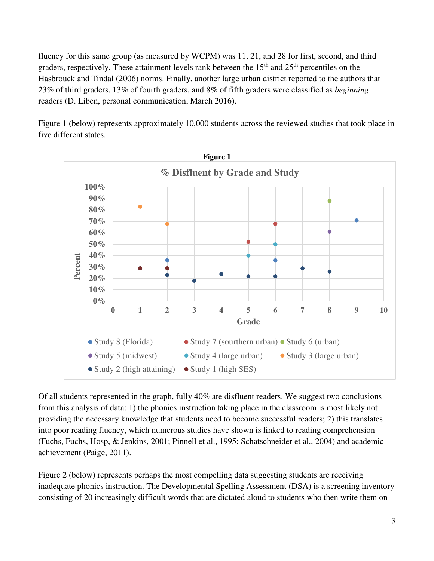fluency for this same group (as measured by WCPM) was 11, 21, and 28 for first, second, and third graders, respectively. These attainment levels rank between the  $15<sup>th</sup>$  and  $25<sup>th</sup>$  percentiles on the Hasbrouck and Tindal (2006) norms. Finally, another large urban district reported to the authors that 23% of third graders, 13% of fourth graders, and 8% of fifth graders were classified as *beginning* readers (D. Liben, personal communication, March 2016).

Figure 1 (below) represents approximately 10,000 students across the reviewed studies that took place in five different states.



Of all students represented in the graph, fully 40% are disfluent readers. We suggest two conclusions from this analysis of data: 1) the phonics instruction taking place in the classroom is most likely not providing the necessary knowledge that students need to become successful readers; 2) this translates into poor reading fluency, which numerous studies have shown is linked to reading comprehension (Fuchs, Fuchs, Hosp, & Jenkins, 2001; Pinnell et al., 1995; Schatschneider et al., 2004) and academic achievement (Paige, 2011).

Figure 2 (below) represents perhaps the most compelling data suggesting students are receiving inadequate phonics instruction. The Developmental Spelling Assessment (DSA) is a screening inventory consisting of 20 increasingly difficult words that are dictated aloud to students who then write them on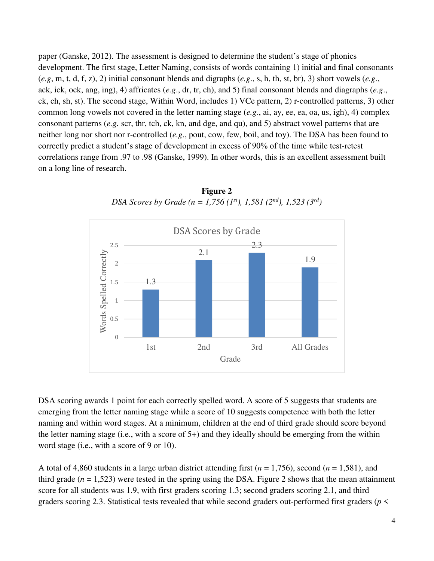paper (Ganske, 2012). The assessment is designed to determine the student's stage of phonics development. The first stage, Letter Naming, consists of words containing 1) initial and final consonants (*e.g*, m, t, d, f, z), 2) initial consonant blends and digraphs (*e.g*., s, h, th, st, br), 3) short vowels (*e.g*., ack, ick, ock, ang, ing), 4) affricates (*e.g*., dr, tr, ch), and 5) final consonant blends and diagraphs (*e.g*., ck, ch, sh, st). The second stage, Within Word, includes 1) VCe pattern, 2) r-controlled patterns, 3) other common long vowels not covered in the letter naming stage (*e.g*., ai, ay, ee, ea, oa, us, igh), 4) complex consonant patterns (*e.g.* scr, thr, tch, ck, kn, and dge, and qu), and 5) abstract vowel patterns that are neither long nor short nor r-controlled (*e.g*., pout, cow, few, boil, and toy). The DSA has been found to correctly predict a student's stage of development in excess of 90% of the time while test-retest correlations range from .97 to .98 (Ganske, 1999). In other words, this is an excellent assessment built on a long line of research.



**Figure 2**  *DSA Scores by Grade (n = 1,756 (1st), 1,581 (2nd), 1,523 (3rd)* 

DSA scoring awards 1 point for each correctly spelled word. A score of 5 suggests that students are emerging from the letter naming stage while a score of 10 suggests competence with both the letter naming and within word stages. At a minimum, children at the end of third grade should score beyond the letter naming stage (i.e., with a score of 5+) and they ideally should be emerging from the within word stage (i.e., with a score of 9 or 10).

A total of 4,860 students in a large urban district attending first  $(n = 1,756)$ , second  $(n = 1,581)$ , and third grade  $(n = 1,523)$  were tested in the spring using the DSA. Figure 2 shows that the mean attainment score for all students was 1.9, with first graders scoring 1.3; second graders scoring 2.1, and third graders scoring 2.3. Statistical tests revealed that while second graders out-performed first graders (*p* <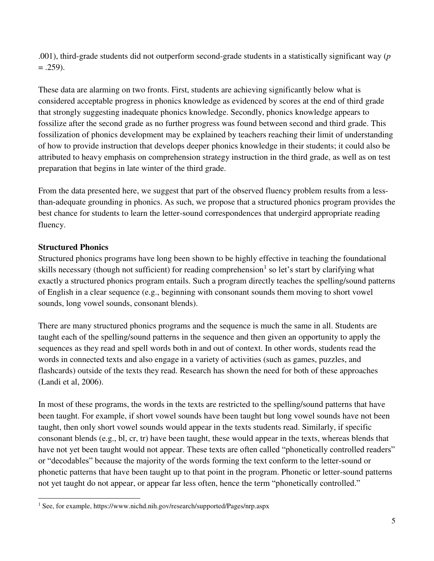.001), third-grade students did not outperform second-grade students in a statistically significant way (*p*  $= .259$ ).

These data are alarming on two fronts. First, students are achieving significantly below what is considered acceptable progress in phonics knowledge as evidenced by scores at the end of third grade that strongly suggesting inadequate phonics knowledge. Secondly, phonics knowledge appears to fossilize after the second grade as no further progress was found between second and third grade. This fossilization of phonics development may be explained by teachers reaching their limit of understanding of how to provide instruction that develops deeper phonics knowledge in their students; it could also be attributed to heavy emphasis on comprehension strategy instruction in the third grade, as well as on test preparation that begins in late winter of the third grade.

From the data presented here, we suggest that part of the observed fluency problem results from a lessthan-adequate grounding in phonics. As such, we propose that a structured phonics program provides the best chance for students to learn the letter-sound correspondences that undergird appropriate reading fluency.

### **Structured Phonics**

 $\overline{a}$ 

Structured phonics programs have long been shown to be highly effective in teaching the foundational skills necessary (though not sufficient) for reading comprehension<sup>1</sup> so let's start by clarifying what exactly a structured phonics program entails. Such a program directly teaches the spelling/sound patterns of English in a clear sequence (e.g., beginning with consonant sounds them moving to short vowel sounds, long vowel sounds, consonant blends).

There are many structured phonics programs and the sequence is much the same in all. Students are taught each of the spelling/sound patterns in the sequence and then given an opportunity to apply the sequences as they read and spell words both in and out of context. In other words, students read the words in connected texts and also engage in a variety of activities (such as games, puzzles, and flashcards) outside of the texts they read. Research has shown the need for both of these approaches (Landi et al, 2006).

In most of these programs, the words in the texts are restricted to the spelling/sound patterns that have been taught. For example, if short vowel sounds have been taught but long vowel sounds have not been taught, then only short vowel sounds would appear in the texts students read. Similarly, if specific consonant blends (e.g., bl, cr, tr) have been taught, these would appear in the texts, whereas blends that have not yet been taught would not appear. These texts are often called "phonetically controlled readers" or "decodables" because the majority of the words forming the text conform to the letter-sound or phonetic patterns that have been taught up to that point in the program. Phonetic or letter-sound patterns not yet taught do not appear, or appear far less often, hence the term "phonetically controlled."

<sup>&</sup>lt;sup>1</sup> See, for example, https://www.nichd.nih.gov/research/supported/Pages/nrp.aspx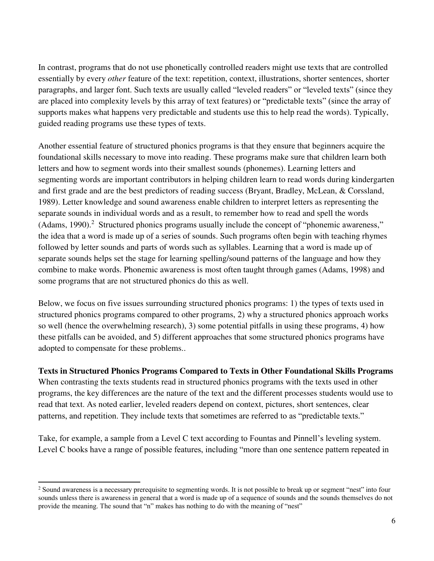In contrast, programs that do not use phonetically controlled readers might use texts that are controlled essentially by every *other* feature of the text: repetition, context, illustrations, shorter sentences, shorter paragraphs, and larger font. Such texts are usually called "leveled readers" or "leveled texts" (since they are placed into complexity levels by this array of text features) or "predictable texts" (since the array of supports makes what happens very predictable and students use this to help read the words). Typically, guided reading programs use these types of texts.

Another essential feature of structured phonics programs is that they ensure that beginners acquire the foundational skills necessary to move into reading. These programs make sure that children learn both letters and how to segment words into their smallest sounds (phonemes). Learning letters and segmenting words are important contributors in helping children learn to read words during kindergarten and first grade and are the best predictors of reading success (Bryant, Bradley, McLean, & Corssland, 1989). Letter knowledge and sound awareness enable children to interpret letters as representing the separate sounds in individual words and as a result, to remember how to read and spell the words (Adams, 1990).<sup>2</sup> Structured phonics programs usually include the concept of "phonemic awareness," the idea that a word is made up of a series of sounds. Such programs often begin with teaching rhymes followed by letter sounds and parts of words such as syllables. Learning that a word is made up of separate sounds helps set the stage for learning spelling/sound patterns of the language and how they combine to make words. Phonemic awareness is most often taught through games (Adams, 1998) and some programs that are not structured phonics do this as well.

Below, we focus on five issues surrounding structured phonics programs: 1) the types of texts used in structured phonics programs compared to other programs, 2) why a structured phonics approach works so well (hence the overwhelming research), 3) some potential pitfalls in using these programs, 4) how these pitfalls can be avoided, and 5) different approaches that some structured phonics programs have adopted to compensate for these problems..

**Texts in Structured Phonics Programs Compared to Texts in Other Foundational Skills Programs** When contrasting the texts students read in structured phonics programs with the texts used in other programs, the key differences are the nature of the text and the different processes students would use to read that text. As noted earlier, leveled readers depend on context, pictures, short sentences, clear patterns, and repetition. They include texts that sometimes are referred to as "predictable texts."

Take, for example, a sample from a Level C text according to Fountas and Pinnell's leveling system. Level C books have a range of possible features, including "more than one sentence pattern repeated in

<sup>&</sup>lt;sup>2</sup> Sound awareness is a necessary prerequisite to segmenting words. It is not possible to break up or segment "nest" into four sounds unless there is awareness in general that a word is made up of a sequence of sounds and the sounds themselves do not provide the meaning. The sound that "n" makes has nothing to do with the meaning of "nest"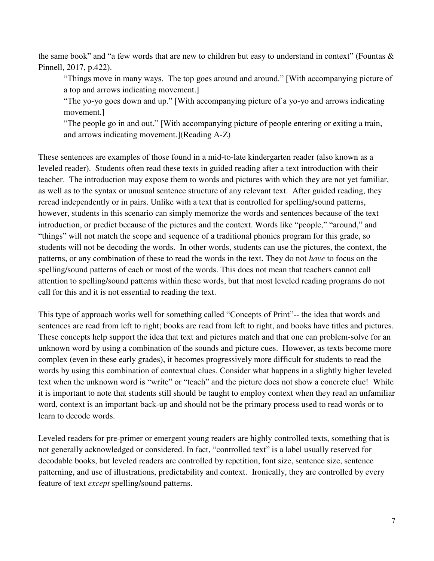the same book" and "a few words that are new to children but easy to understand in context" (Fountas  $\&$ Pinnell, 2017, p.422).

"Things move in many ways. The top goes around and around." [With accompanying picture of a top and arrows indicating movement.]

"The yo-yo goes down and up." [With accompanying picture of a yo-yo and arrows indicating movement.]

"The people go in and out." [With accompanying picture of people entering or exiting a train, and arrows indicating movement.](Reading A-Z)

These sentences are examples of those found in a mid-to-late kindergarten reader (also known as a leveled reader). Students often read these texts in guided reading after a text introduction with their teacher. The introduction may expose them to words and pictures with which they are not yet familiar, as well as to the syntax or unusual sentence structure of any relevant text. After guided reading, they reread independently or in pairs. Unlike with a text that is controlled for spelling/sound patterns, however, students in this scenario can simply memorize the words and sentences because of the text introduction, or predict because of the pictures and the context. Words like "people," "around," and "things" will not match the scope and sequence of a traditional phonics program for this grade, so students will not be decoding the words. In other words, students can use the pictures, the context, the patterns, or any combination of these to read the words in the text. They do not *have* to focus on the spelling/sound patterns of each or most of the words. This does not mean that teachers cannot call attention to spelling/sound patterns within these words, but that most leveled reading programs do not call for this and it is not essential to reading the text.

This type of approach works well for something called "Concepts of Print"-- the idea that words and sentences are read from left to right; books are read from left to right, and books have titles and pictures. These concepts help support the idea that text and pictures match and that one can problem-solve for an unknown word by using a combination of the sounds and picture cues. However, as texts become more complex (even in these early grades), it becomes progressively more difficult for students to read the words by using this combination of contextual clues. Consider what happens in a slightly higher leveled text when the unknown word is "write" or "teach" and the picture does not show a concrete clue! While it is important to note that students still should be taught to employ context when they read an unfamiliar word, context is an important back-up and should not be the primary process used to read words or to learn to decode words.

Leveled readers for pre-primer or emergent young readers are highly controlled texts, something that is not generally acknowledged or considered. In fact, "controlled text" is a label usually reserved for decodable books, but leveled readers are controlled by repetition, font size, sentence size, sentence patterning, and use of illustrations, predictability and context. Ironically, they are controlled by every feature of text *except* spelling/sound patterns.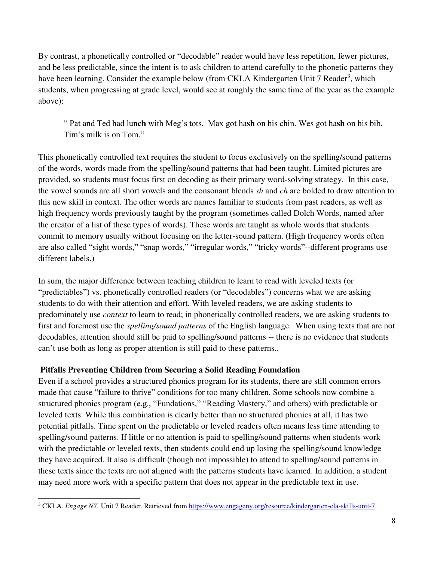By contrast, a phonetically controlled or "decodable" reader would have less repetition, fewer pictures, and be less predictable, since the intent is to ask children to attend carefully to the phonetic patterns they have been learning. Consider the example below (from CKLA Kindergarten Unit 7 Reader<sup>3</sup>, which students, when progressing at grade level, would see at roughly the same time of the year as the example above):

" Pat and Ted had lun**ch** with Meg's tots. Max got ha**sh** on his chin. Wes got ha**sh** on his bib. Tim's milk is on Tom."

This phonetically controlled text requires the student to focus exclusively on the spelling/sound patterns of the words, words made from the spelling/sound patterns that had been taught. Limited pictures are provided, so students must focus first on decoding as their primary word-solving strategy. In this case, the vowel sounds are all short vowels and the consonant blends *sh* and *ch* are bolded to draw attention to this new skill in context. The other words are names familiar to students from past readers, as well as high frequency words previously taught by the program (sometimes called Dolch Words, named after the creator of a list of these types of words). These words are taught as whole words that students commit to memory usually without focusing on the letter-sound pattern. (High frequency words often are also called "sight words," "snap words," "irregular words," "tricky words"--different programs use different labels.)

In sum, the major difference between teaching children to learn to read with leveled texts (or "predictables") vs. phonetically controlled readers (or "decodables") concerns what we are asking students to do with their attention and effort. With leveled readers, we are asking students to predominately use *context* to learn to read; in phonetically controlled readers, we are asking students to first and foremost use the *spelling/sound patterns* of the English language. When using texts that are not decodables, attention should still be paid to spelling/sound patterns -- there is no evidence that students can't use both as long as proper attention is still paid to these patterns..

#### **Pitfalls Preventing Children from Securing a Solid Reading Foundation**

Even if a school provides a structured phonics program for its students, there are still common errors made that cause "failure to thrive" conditions for too many children. Some schools now combine a structured phonics program (e.g., "Fundations," "Reading Mastery," and others) with predictable or leveled texts. While this combination is clearly better than no structured phonics at all, it has two potential pitfalls. Time spent on the predictable or leveled readers often means less time attending to spelling/sound patterns. If little or no attention is paid to spelling/sound patterns when students work with the predictable or leveled texts, then students could end up losing the spelling/sound knowledge they have acquired. It also is difficult (though not impossible) to attend to spelling/sound patterns in these texts since the texts are not aligned with the patterns students have learned. In addition, a student may need more work with a specific pattern that does not appear in the predictable text in use.

<sup>&</sup>lt;sup>3</sup> CKLA. *Engage NY*. Unit 7 Reader. Retrieved fro[m https://www.engageny.org/resource/kindergarten-ela-skills-unit-7](https://www.engageny.org/resource/kindergarten-ela-skills-unit-7).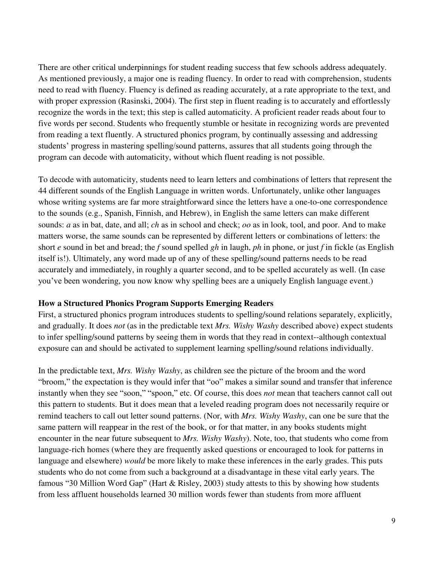There are other critical underpinnings for student reading success that few schools address adequately. As mentioned previously, a major one is reading fluency. In order to read with comprehension, students need to read with fluency. Fluency is defined as reading accurately, at a rate appropriate to the text, and with proper expression (Rasinski, 2004). The first step in fluent reading is to accurately and effortlessly recognize the words in the text; this step is called automaticity. A proficient reader reads about four to five words per second. Students who frequently stumble or hesitate in recognizing words are prevented from reading a text fluently. A structured phonics program, by continually assessing and addressing students' progress in mastering spelling/sound patterns, assures that all students going through the program can decode with automaticity, without which fluent reading is not possible.

To decode with automaticity, students need to learn letters and combinations of letters that represent the 44 different sounds of the English Language in written words. Unfortunately, unlike other languages whose writing systems are far more straightforward since the letters have a one-to-one correspondence to the sounds (e.g., Spanish, Finnish, and Hebrew), in English the same letters can make different sounds: *a* as in bat, date, and all; *ch* as in school and check; *oo* as in look, tool, and poor. And to make matters worse, the same sounds can be represented by different letters or combinations of letters: the short *e* sound in bet and bread; the *f* sound spelled *gh* in laugh, *ph* in phone, or just *f* in fickle (as English itself is!). Ultimately, any word made up of any of these spelling/sound patterns needs to be read accurately and immediately, in roughly a quarter second, and to be spelled accurately as well. (In case you've been wondering, you now know why spelling bees are a uniquely English language event.)

#### **How a Structured Phonics Program Supports Emerging Readers**

First, a structured phonics program introduces students to spelling/sound relations separately, explicitly, and gradually. It does *not* (as in the predictable text *Mrs. Wishy Washy* described above) expect students to infer spelling/sound patterns by seeing them in words that they read in context--although contextual exposure can and should be activated to supplement learning spelling/sound relations individually.

In the predictable text, *Mrs. Wishy Washy*, as children see the picture of the broom and the word "broom," the expectation is they would infer that "oo" makes a similar sound and transfer that inference instantly when they see "soon," "spoon," etc. Of course, this does *not* mean that teachers cannot call out this pattern to students. But it does mean that a leveled reading program does not necessarily require or remind teachers to call out letter sound patterns. (Nor, with *Mrs. Wishy Washy*, can one be sure that the same pattern will reappear in the rest of the book, or for that matter, in any books students might encounter in the near future subsequent to *Mrs. Wishy Washy*). Note, too, that students who come from language-rich homes (where they are frequently asked questions or encouraged to look for patterns in language and elsewhere) *would* be more likely to make these inferences in the early grades. This puts students who do not come from such a background at a disadvantage in these vital early years. The famous "30 Million Word Gap" (Hart & Risley, 2003) study attests to this by showing how students from less affluent households learned 30 million words fewer than students from more affluent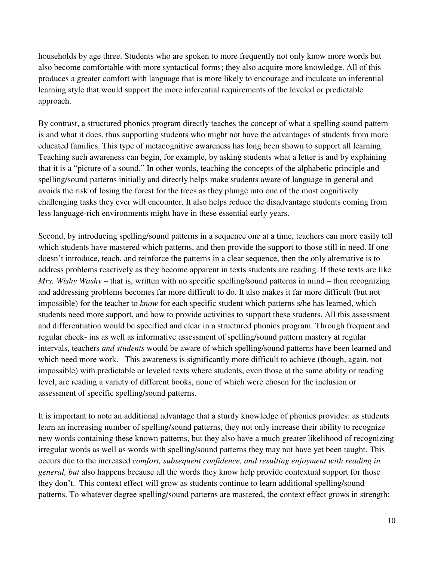households by age three. Students who are spoken to more frequently not only know more words but also become comfortable with more syntactical forms; they also acquire more knowledge. All of this produces a greater comfort with language that is more likely to encourage and inculcate an inferential learning style that would support the more inferential requirements of the leveled or predictable approach.

By contrast, a structured phonics program directly teaches the concept of what a spelling sound pattern is and what it does, thus supporting students who might not have the advantages of students from more educated families. This type of metacognitive awareness has long been shown to support all learning. Teaching such awareness can begin, for example, by asking students what a letter is and by explaining that it is a "picture of a sound." In other words, teaching the concepts of the alphabetic principle and spelling/sound patterns initially and directly helps make students aware of language in general and avoids the risk of losing the forest for the trees as they plunge into one of the most cognitively challenging tasks they ever will encounter. It also helps reduce the disadvantage students coming from less language-rich environments might have in these essential early years.

Second, by introducing spelling/sound patterns in a sequence one at a time, teachers can more easily tell which students have mastered which patterns, and then provide the support to those still in need. If one doesn't introduce, teach, and reinforce the patterns in a clear sequence, then the only alternative is to address problems reactively as they become apparent in texts students are reading. If these texts are like *Mrs. Wishy Washy* – that is, written with no specific spelling/sound patterns in mind – then recognizing and addressing problems becomes far more difficult to do. It also makes it far more difficult (but not impossible) for the teacher to *know* for each specific student which patterns s/he has learned, which students need more support, and how to provide activities to support these students. All this assessment and differentiation would be specified and clear in a structured phonics program. Through frequent and regular check- ins as well as informative assessment of spelling/sound pattern mastery at regular intervals, teachers *and students* would be aware of which spelling/sound patterns have been learned and which need more work. This awareness is significantly more difficult to achieve (though, again, not impossible) with predictable or leveled texts where students, even those at the same ability or reading level, are reading a variety of different books, none of which were chosen for the inclusion or assessment of specific spelling/sound patterns.

It is important to note an additional advantage that a sturdy knowledge of phonics provides: as students learn an increasing number of spelling/sound patterns, they not only increase their ability to recognize new words containing these known patterns, but they also have a much greater likelihood of recognizing irregular words as well as words with spelling/sound patterns they may not have yet been taught. This occurs due to the increased *comfort, subsequent confidence, and resulting enjoyment with reading in general, but* also happens because all the words they know help provide contextual support for those they don't. This context effect will grow as students continue to learn additional spelling/sound patterns. To whatever degree spelling/sound patterns are mastered, the context effect grows in strength;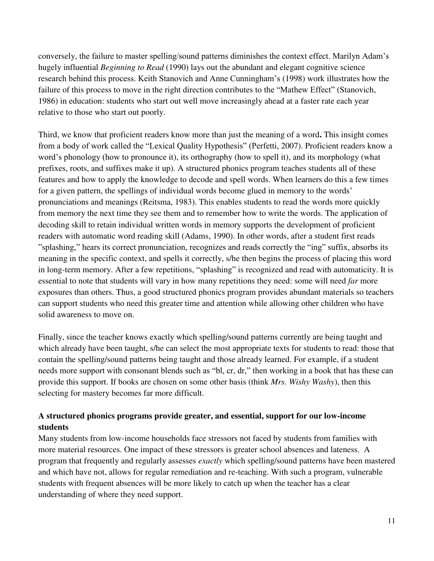conversely, the failure to master spelling/sound patterns diminishes the context effect. Marilyn Adam's hugely influential *Beginning to Read* (1990) lays out the abundant and elegant cognitive science research behind this process. Keith Stanovich and Anne Cunningham's (1998) work illustrates how the failure of this process to move in the right direction contributes to the "Mathew Effect" (Stanovich, 1986) in education: students who start out well move increasingly ahead at a faster rate each year relative to those who start out poorly.

Third, we know that proficient readers know more than just the meaning of a word**.** This insight comes from a body of work called the "Lexical Quality Hypothesis" (Perfetti, 2007). Proficient readers know a word's phonology (how to pronounce it), its orthography (how to spell it), and its morphology (what prefixes, roots, and suffixes make it up). A structured phonics program teaches students all of these features and how to apply the knowledge to decode and spell words. When learners do this a few times for a given pattern, the spellings of individual words become glued in memory to the words' pronunciations and meanings (Reitsma, 1983). This enables students to read the words more quickly from memory the next time they see them and to remember how to write the words. The application of decoding skill to retain individual written words in memory supports the development of proficient readers with automatic word reading skill (Adams, 1990). In other words, after a student first reads "splashing," hears its correct pronunciation, recognizes and reads correctly the "ing" suffix, absorbs its meaning in the specific context, and spells it correctly, s/he then begins the process of placing this word in long-term memory. After a few repetitions, "splashing" is recognized and read with automaticity. It is essential to note that students will vary in how many repetitions they need: some will need *far* more exposures than others. Thus, a good structured phonics program provides abundant materials so teachers can support students who need this greater time and attention while allowing other children who have solid awareness to move on.

Finally, since the teacher knows exactly which spelling/sound patterns currently are being taught and which already have been taught, s/he can select the most appropriate texts for students to read: those that contain the spelling/sound patterns being taught and those already learned. For example, if a student needs more support with consonant blends such as "bl, cr, dr," then working in a book that has these can provide this support. If books are chosen on some other basis (think *Mrs. Wishy Washy*), then this selecting for mastery becomes far more difficult.

# **A structured phonics programs provide greater, and essential, support for our low-income students**

Many students from low-income households face stressors not faced by students from families with more material resources. One impact of these stressors is greater school absences and lateness. A program that frequently and regularly assesses *exactly* which spelling/sound patterns have been mastered and which have not, allows for regular remediation and re-teaching. With such a program, vulnerable students with frequent absences will be more likely to catch up when the teacher has a clear understanding of where they need support.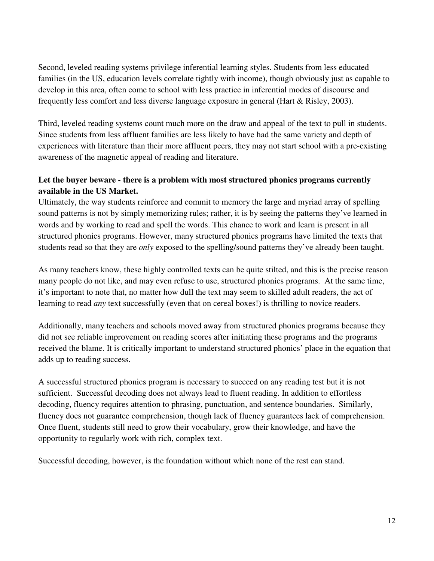Second, leveled reading systems privilege inferential learning styles. Students from less educated families (in the US, education levels correlate tightly with income), though obviously just as capable to develop in this area, often come to school with less practice in inferential modes of discourse and frequently less comfort and less diverse language exposure in general (Hart & Risley, 2003).

Third, leveled reading systems count much more on the draw and appeal of the text to pull in students. Since students from less affluent families are less likely to have had the same variety and depth of experiences with literature than their more affluent peers, they may not start school with a pre-existing awareness of the magnetic appeal of reading and literature.

# **Let the buyer beware - there is a problem with most structured phonics programs currently available in the US Market.**

Ultimately, the way students reinforce and commit to memory the large and myriad array of spelling sound patterns is not by simply memorizing rules; rather, it is by seeing the patterns they've learned in words and by working to read and spell the words. This chance to work and learn is present in all structured phonics programs. However, many structured phonics programs have limited the texts that students read so that they are *only* exposed to the spelling/sound patterns they've already been taught.

As many teachers know, these highly controlled texts can be quite stilted, and this is the precise reason many people do not like, and may even refuse to use, structured phonics programs. At the same time, it's important to note that, no matter how dull the text may seem to skilled adult readers, the act of learning to read *any* text successfully (even that on cereal boxes!) is thrilling to novice readers.

Additionally, many teachers and schools moved away from structured phonics programs because they did not see reliable improvement on reading scores after initiating these programs and the programs received the blame. It is critically important to understand structured phonics' place in the equation that adds up to reading success.

A successful structured phonics program is necessary to succeed on any reading test but it is not sufficient. Successful decoding does not always lead to fluent reading. In addition to effortless decoding, fluency requires attention to phrasing, punctuation, and sentence boundaries. Similarly, fluency does not guarantee comprehension, though lack of fluency guarantees lack of comprehension. Once fluent, students still need to grow their vocabulary, grow their knowledge, and have the opportunity to regularly work with rich, complex text.

Successful decoding, however, is the foundation without which none of the rest can stand.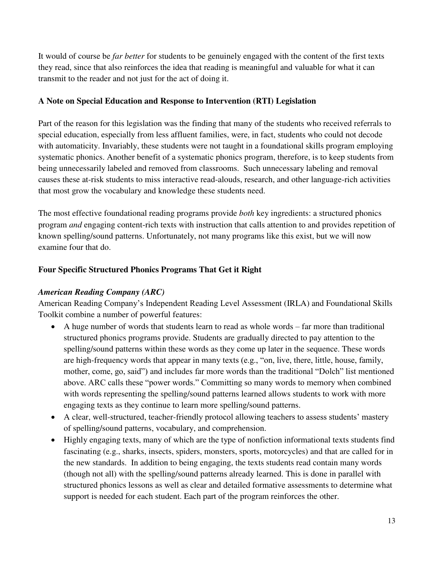It would of course be *far better* for students to be genuinely engaged with the content of the first texts they read, since that also reinforces the idea that reading is meaningful and valuable for what it can transmit to the reader and not just for the act of doing it.

### **A Note on Special Education and Response to Intervention (RTI) Legislation**

Part of the reason for this legislation was the finding that many of the students who received referrals to special education, especially from less affluent families, were, in fact, students who could not decode with automaticity. Invariably, these students were not taught in a foundational skills program employing systematic phonics. Another benefit of a systematic phonics program, therefore, is to keep students from being unnecessarily labeled and removed from classrooms. Such unnecessary labeling and removal causes these at-risk students to miss interactive read-alouds, research, and other language-rich activities that most grow the vocabulary and knowledge these students need.

The most effective foundational reading programs provide *both* key ingredients: a structured phonics program *and* engaging content-rich texts with instruction that calls attention to and provides repetition of known spelling/sound patterns. Unfortunately, not many programs like this exist, but we will now examine four that do.

# **Four Specific Structured Phonics Programs That Get it Right**

#### *American Reading Company (ARC)*

American Reading Company's Independent Reading Level Assessment (IRLA) and Foundational Skills Toolkit combine a number of powerful features:

- A huge number of words that students learn to read as whole words far more than traditional structured phonics programs provide. Students are gradually directed to pay attention to the spelling/sound patterns within these words as they come up later in the sequence. These words are high-frequency words that appear in many texts (e.g., "on, live, there, little, house, family, mother, come, go, said") and includes far more words than the traditional "Dolch" list mentioned above. ARC calls these "power words." Committing so many words to memory when combined with words representing the spelling/sound patterns learned allows students to work with more engaging texts as they continue to learn more spelling/sound patterns.
- A clear, well-structured, teacher-friendly protocol allowing teachers to assess students' mastery of spelling/sound patterns, vocabulary, and comprehension.
- Highly engaging texts, many of which are the type of nonfiction informational texts students find fascinating (e.g., sharks, insects, spiders, monsters, sports, motorcycles) and that are called for in the new standards. In addition to being engaging, the texts students read contain many words (though not all) with the spelling/sound patterns already learned. This is done in parallel with structured phonics lessons as well as clear and detailed formative assessments to determine what support is needed for each student. Each part of the program reinforces the other.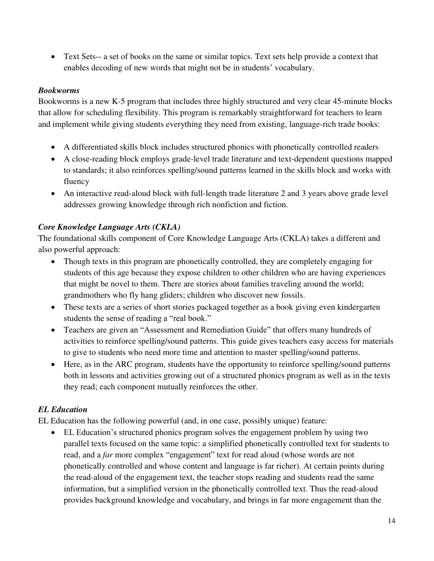Text Sets-- a set of books on the same or similar topics. Text sets help provide a context that enables decoding of new words that might not be in students' vocabulary.

#### *Bookworms*

Bookworms is a new K-5 program that includes three highly structured and very clear 45-minute blocks that allow for scheduling flexibility. This program is remarkably straightforward for teachers to learn and implement while giving students everything they need from existing, language-rich trade books:

- A differentiated skills block includes structured phonics with phonetically controlled readers
- A close-reading block employs grade-level trade literature and text-dependent questions mapped to standards; it also reinforces spelling/sound patterns learned in the skills block and works with fluency
- An interactive read-aloud block with full-length trade literature 2 and 3 years above grade level addresses growing knowledge through rich nonfiction and fiction.

# *Core Knowledge Language Arts (CKLA)*

The foundational skills component of Core Knowledge Language Arts (CKLA) takes a different and also powerful approach:

- Though texts in this program are phonetically controlled, they are completely engaging for students of this age because they expose children to other children who are having experiences that might be novel to them. There are stories about families traveling around the world; grandmothers who fly hang gliders; children who discover new fossils.
- These texts are a series of short stories packaged together as a book giving even kindergarten students the sense of reading a "real book."
- Teachers are given an "Assessment and Remediation Guide" that offers many hundreds of activities to reinforce spelling/sound patterns. This guide gives teachers easy access for materials to give to students who need more time and attention to master spelling/sound patterns.
- Here, as in the ARC program, students have the opportunity to reinforce spelling/sound patterns both in lessons and activities growing out of a structured phonics program as well as in the texts they read; each component mutually reinforces the other.

# *EL Education*

EL Education has the following powerful (and, in one case, possibly unique) feature:

 EL Education's structured phonics program solves the engagement problem by using two parallel texts focused on the same topic: a simplified phonetically controlled text for students to read, and a *far* more complex "engagement" text for read aloud (whose words are not phonetically controlled and whose content and language is far richer). At certain points during the read-aloud of the engagement text, the teacher stops reading and students read the same information, but a simplified version in the phonetically controlled text. Thus the read-aloud provides background knowledge and vocabulary, and brings in far more engagement than the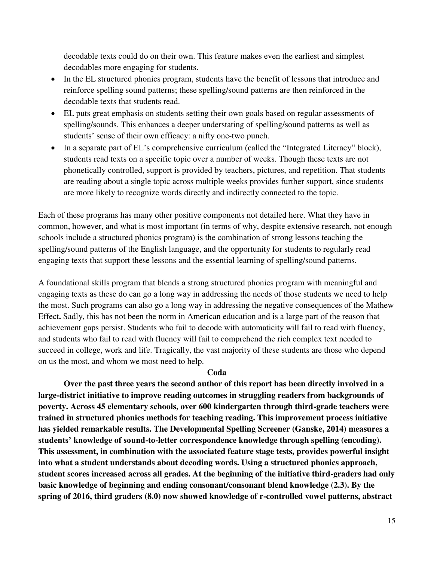decodable texts could do on their own. This feature makes even the earliest and simplest decodables more engaging for students.

- In the EL structured phonics program, students have the benefit of lessons that introduce and reinforce spelling sound patterns; these spelling/sound patterns are then reinforced in the decodable texts that students read.
- EL puts great emphasis on students setting their own goals based on regular assessments of spelling/sounds. This enhances a deeper understating of spelling/sound patterns as well as students' sense of their own efficacy: a nifty one-two punch.
- In a separate part of EL's comprehensive curriculum (called the "Integrated Literacy" block), students read texts on a specific topic over a number of weeks. Though these texts are not phonetically controlled, support is provided by teachers, pictures, and repetition. That students are reading about a single topic across multiple weeks provides further support, since students are more likely to recognize words directly and indirectly connected to the topic.

Each of these programs has many other positive components not detailed here. What they have in common, however, and what is most important (in terms of why, despite extensive research, not enough schools include a structured phonics program) is the combination of strong lessons teaching the spelling/sound patterns of the English language, and the opportunity for students to regularly read engaging texts that support these lessons and the essential learning of spelling/sound patterns.

A foundational skills program that blends a strong structured phonics program with meaningful and engaging texts as these do can go a long way in addressing the needs of those students we need to help the most. Such programs can also go a long way in addressing the negative consequences of the Mathew Effect**.** Sadly, this has not been the norm in American education and is a large part of the reason that achievement gaps persist. Students who fail to decode with automaticity will fail to read with fluency, and students who fail to read with fluency will fail to comprehend the rich complex text needed to succeed in college, work and life. Tragically, the vast majority of these students are those who depend on us the most, and whom we most need to help.

#### **Coda**

 **Over the past three years the second author of this report has been directly involved in a large-district initiative to improve reading outcomes in struggling readers from backgrounds of poverty. Across 45 elementary schools, over 600 kindergarten through third-grade teachers were trained in structured phonics methods for teaching reading. This improvement process initiative has yielded remarkable results. The Developmental Spelling Screener (Ganske, 2014) measures a students' knowledge of sound-to-letter correspondence knowledge through spelling (encoding). This assessment, in combination with the associated feature stage tests, provides powerful insight into what a student understands about decoding words. Using a structured phonics approach, student scores increased across all grades. At the beginning of the initiative third-graders had only basic knowledge of beginning and ending consonant/consonant blend knowledge (2.3). By the spring of 2016, third graders (8.0) now showed knowledge of r-controlled vowel patterns, abstract**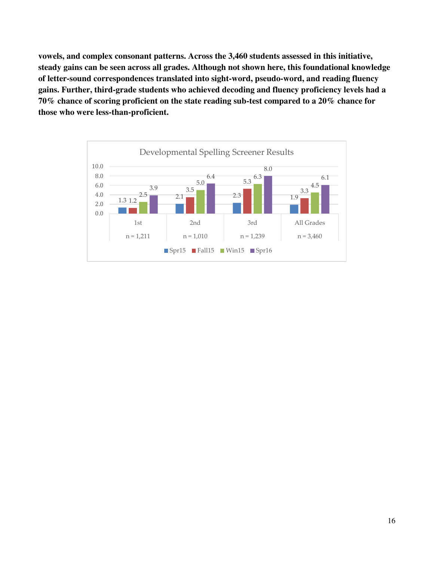**vowels, and complex consonant patterns. Across the 3,460 students assessed in this initiative, steady gains can be seen across all grades. Although not shown here, this foundational knowledge of letter-sound correspondences translated into sight-word, pseudo-word, and reading fluency gains. Further, third-grade students who achieved decoding and fluency proficiency levels had a 70% chance of scoring proficient on the state reading sub-test compared to a 20% chance for those who were less-than-proficient.** 

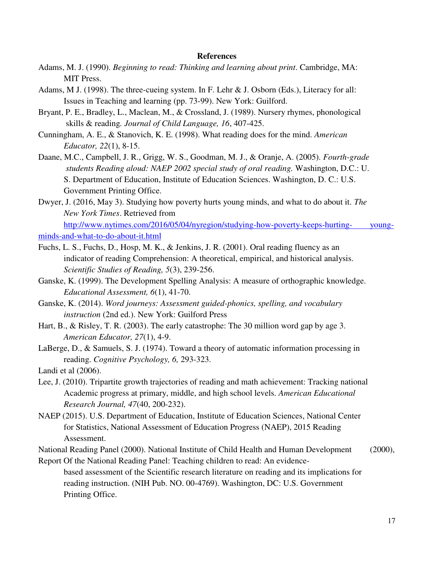#### **References**

- Adams, M. J. (1990). *Beginning to read: Thinking and learning about print*. Cambridge, MA: MIT Press.
- Adams, M J. (1998). The three-cueing system. In F. Lehr & J. Osborn (Eds.), Literacy for all: Issues in Teaching and learning (pp. 73-99). New York: Guilford.
- Bryant, P. E., Bradley, L., Maclean, M., & Crossland, J. (1989). Nursery rhymes, phonological skills & reading*. Journal of Child Language, 16*, 407-425.
- Cunningham, A. E., & Stanovich, K. E. (1998). What reading does for the mind. *American Educator, 22*(1), 8-15.
- Daane, M.C., Campbell, J. R., Grigg, W. S., Goodman, M. J., & Oranje, A. (2005). *Fourth-grade students Reading aloud: NAEP 2002 special study of oral reading.* Washington, D.C.: U. S. Department of Education, Institute of Education Sciences. Washington, D. C.: U.S. Government Printing Office.
- Dwyer, J. (2016, May 3). Studying how poverty hurts young minds, and what to do about it. *The New York Times*. Retrieved from [http://www.nytimes.com/2016/05/04/nyregion/studying-how-poverty-keeps-hurting- young-](http://www.nytimes.com/2016/05/04/nyregion/studying-how-poverty-keeps-hurting-young-minds-and-what-to-do-about-it.html)

[minds-and-what-to-do-about-it.html](http://www.nytimes.com/2016/05/04/nyregion/studying-how-poverty-keeps-hurting-%09young-minds-and-what-to-do-about-it.html)

- Fuchs, L. S., Fuchs, D., Hosp, M. K., & Jenkins, J. R. (2001). Oral reading fluency as an indicator of reading Comprehension: A theoretical, empirical, and historical analysis. *Scientific Studies of Reading, 5*(3), 239-256.
- Ganske, K. (1999). The Development Spelling Analysis: A measure of orthographic knowledge. *Educational Assessment, 6*(1), 41-70.
- Ganske, K. (2014). *Word journeys: Assessment guided-phonics, spelling, and vocabulary instruction* (2nd ed.). New York: Guilford Press
- Hart, B., & Risley, T. R. (2003). The early catastrophe: The 30 million word gap by age 3. *American Educator, 27*(1), 4-9.
- LaBerge, D., & Samuels, S. J. (1974). Toward a theory of automatic information processing in reading. *Cognitive Psychology, 6,* 293-323.

Landi et al (2006).

- Lee, J. (2010). Tripartite growth trajectories of reading and math achievement: Tracking national Academic progress at primary, middle, and high school levels. *American Educational Research Journal, 47*(40, 200-232).
- NAEP (2015). U.S. Department of Education, Institute of Education Sciences, National Center for Statistics, National Assessment of Education Progress (NAEP), 2015 Reading Assessment.
- National Reading Panel (2000). National Institute of Child Health and Human Development (2000),

Report Of the National Reading Panel: Teaching children to read: An evidence based assessment of the Scientific research literature on reading and its implications for reading instruction. (NIH Pub. NO. 00-4769). Washington, DC: U.S. Government Printing Office.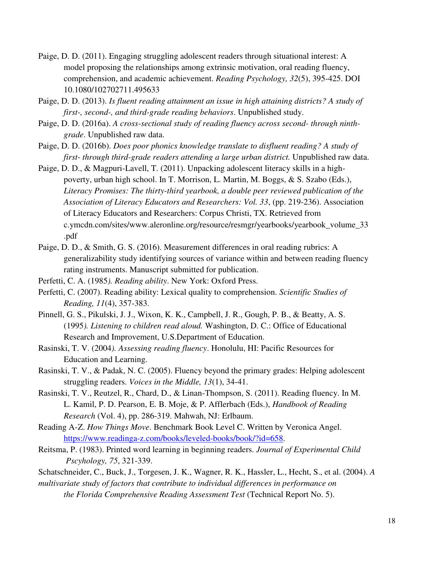- Paige, D. D. (2011). Engaging struggling adolescent readers through situational interest: A model proposing the relationships among extrinsic motivation, oral reading fluency, comprehension, and academic achievement. *Reading Psychology, 32*(5), 395-425. DOI 10.1080/102702711.495633
- Paige, D. D. (2013). *Is fluent reading attainment an issue in high attaining districts? A study of first-, second-, and third-grade reading behaviors*. Unpublished study.
- Paige, D. D. (2016a). *A cross-sectional study of reading fluency across second- through ninth grade*. Unpublished raw data.
- Paige, D. D. (2016b). *Does poor phonics knowledge translate to disfluent reading? A study of first- through third-grade readers attending a large urban district.* Unpublished raw data.
- Paige, D. D., & Magpuri-Lavell, T. (2011). Unpacking adolescent literacy skills in a high poverty, urban high school. In T. Morrison, L. Martin, M. Boggs, & S. Szabo (Eds.), *Literacy Promises: The thirty-third yearbook, a double peer reviewed publication of the Association of Literacy Educators and Researchers: Vol. 33*, (pp. 219-236). Association of Literacy Educators and Researchers: Corpus Christi, TX. Retrieved from c.ymcdn.com/sites/www.aleronline.org/resource/resmgr/yearbooks/yearbook\_volume\_33 .pdf
- Paige, D. D., & Smith, G. S. (2016). Measurement differences in oral reading rubrics: A generalizability study identifying sources of variance within and between reading fluency rating instruments. Manuscript submitted for publication.
- Perfetti, C. A. (1985*). Reading ability*. New York: Oxford Press.
- Perfetti, C. (2007). Reading ability: Lexical quality to comprehension. *Scientific Studies of Reading, 11*(4), 357-383.
- Pinnell, G. S., Pikulski, J. J., Wixon, K. K., Campbell, J. R., Gough, P. B., & Beatty, A. S. (1995*). Listening to children read aloud.* Washington, D. C.: Office of Educational Research and Improvement, U.S.Department of Education.
- Rasinski, T. V. (2004*). Assessing reading fluency*. Honolulu, HI: Pacific Resources for Education and Learning.
- Rasinski, T. V., & Padak, N. C. (2005). Fluency beyond the primary grades: Helping adolescent struggling readers. *Voices in the Middle, 13*(1), 34-41.
- Rasinski, T. V., Reutzel, R., Chard, D., & Linan-Thompson, S. (2011). Reading fluency. In M. L. Kamil, P. D. Pearson, E. B. Moje, & P. Afflerbach (Eds.), *Handbook of Reading Research* (Vol. 4), pp. 286-319. Mahwah, NJ: Erlbaum.
- Reading A-Z. *How Things Move*. Benchmark Book Level C. Written by Veronica Angel. [https://www.readinga-z.com/books/leveled-books/book/?id=658.](https://www.readinga-z.com/books/leveled-books/book/?id=658)
- Reitsma, P. (1983). Printed word learning in beginning readers. *Journal of Experimental Child Pscyhology, 75*, 321-339.
- Schatschneider, C., Buck, J., Torgesen, J. K., Wagner, R. K., Hassler, L., Hecht, S., et al. (2004). *A multivariate study of factors that contribute to individual differences in performance on the Florida Comprehensive Reading Assessment Test* (Technical Report No. 5).